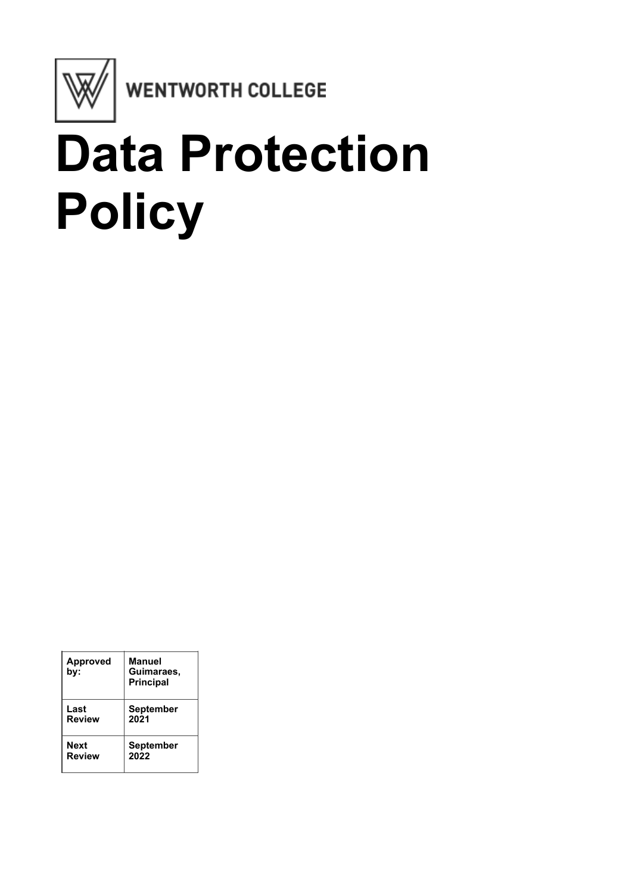

WENTWORTH COLLEGE

# **Data Protection Policy**

| <b>Approved</b><br>bv: | Manuel<br>Guimaraes,<br><b>Principal</b> |
|------------------------|------------------------------------------|
| Last                   | <b>September</b>                         |
| <b>Review</b>          | 2021                                     |
| Next                   | <b>September</b>                         |
| <b>Review</b>          | 2022                                     |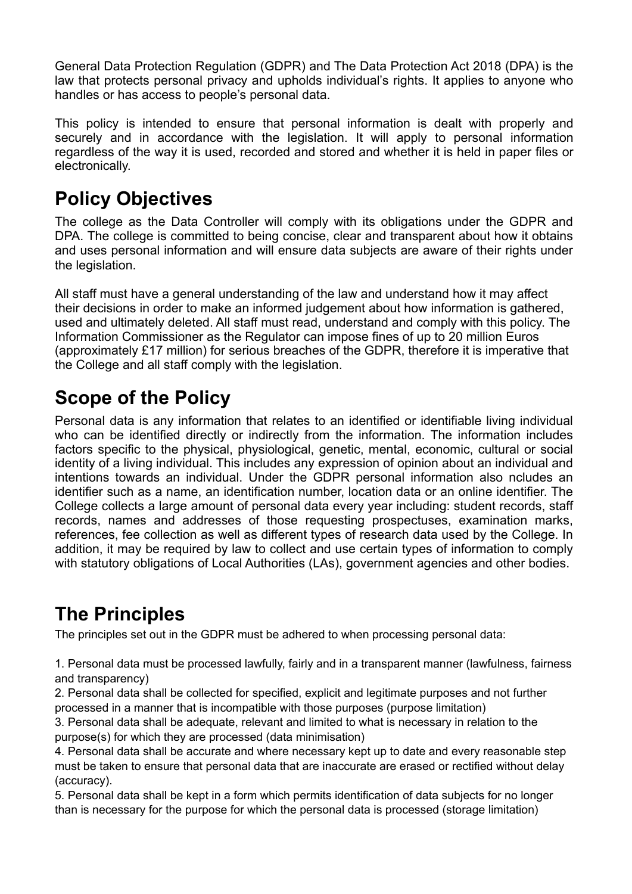General Data Protection Regulation (GDPR) and The Data Protection Act 2018 (DPA) is the law that protects personal privacy and upholds individual's rights. It applies to anyone who handles or has access to people's personal data.

This policy is intended to ensure that personal information is dealt with properly and securely and in accordance with the legislation. It will apply to personal information regardless of the way it is used, recorded and stored and whether it is held in paper files or electronically.

## **Policy Objectives**

The college as the Data Controller will comply with its obligations under the GDPR and DPA. The college is committed to being concise, clear and transparent about how it obtains and uses personal information and will ensure data subjects are aware of their rights under the legislation.

All staff must have a general understanding of the law and understand how it may affect their decisions in order to make an informed judgement about how information is gathered, used and ultimately deleted. All staff must read, understand and comply with this policy. The Information Commissioner as the Regulator can impose fines of up to 20 million Euros (approximately £17 million) for serious breaches of the GDPR, therefore it is imperative that the College and all staff comply with the legislation.

## **Scope of the Policy**

Personal data is any information that relates to an identified or identifiable living individual who can be identified directly or indirectly from the information. The information includes factors specific to the physical, physiological, genetic, mental, economic, cultural or social identity of a living individual. This includes any expression of opinion about an individual and intentions towards an individual. Under the GDPR personal information also ncludes an identifier such as a name, an identification number, location data or an online identifier. The College collects a large amount of personal data every year including: student records, staff records, names and addresses of those requesting prospectuses, examination marks, references, fee collection as well as different types of research data used by the College. In addition, it may be required by law to collect and use certain types of information to comply with statutory obligations of Local Authorities (LAs), government agencies and other bodies.

# **The Principles**

The principles set out in the GDPR must be adhered to when processing personal data:

1. Personal data must be processed lawfully, fairly and in a transparent manner (lawfulness, fairness and transparency)

2. Personal data shall be collected for specified, explicit and legitimate purposes and not further processed in a manner that is incompatible with those purposes (purpose limitation)

3. Personal data shall be adequate, relevant and limited to what is necessary in relation to the purpose(s) for which they are processed (data minimisation)

4. Personal data shall be accurate and where necessary kept up to date and every reasonable step must be taken to ensure that personal data that are inaccurate are erased or rectified without delay (accuracy).

5. Personal data shall be kept in a form which permits identification of data subjects for no longer than is necessary for the purpose for which the personal data is processed (storage limitation)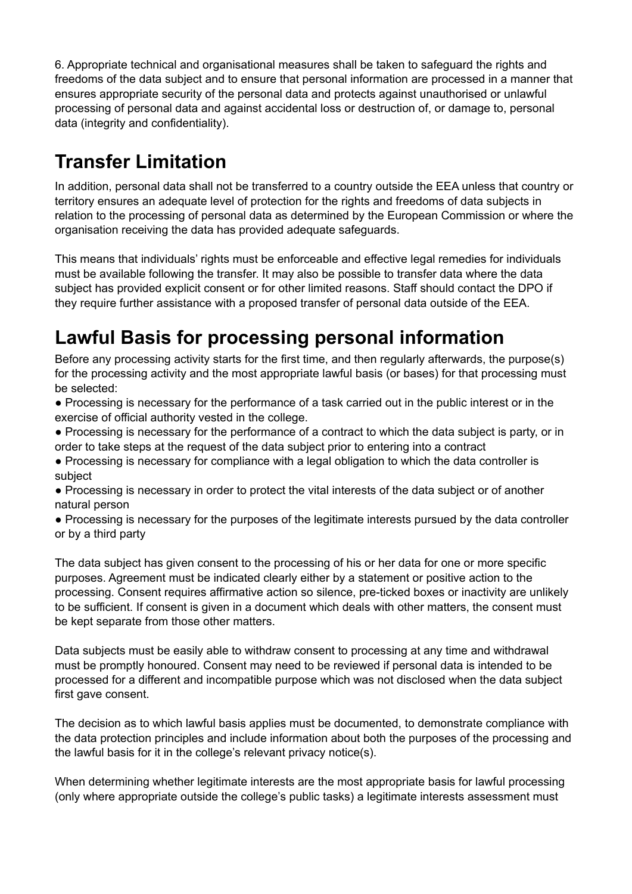6. Appropriate technical and organisational measures shall be taken to safeguard the rights and freedoms of the data subject and to ensure that personal information are processed in a manner that ensures appropriate security of the personal data and protects against unauthorised or unlawful processing of personal data and against accidental loss or destruction of, or damage to, personal data (integrity and confidentiality).

# **Transfer Limitation**

In addition, personal data shall not be transferred to a country outside the EEA unless that country or territory ensures an adequate level of protection for the rights and freedoms of data subjects in relation to the processing of personal data as determined by the European Commission or where the organisation receiving the data has provided adequate safeguards.

This means that individuals' rights must be enforceable and effective legal remedies for individuals must be available following the transfer. It may also be possible to transfer data where the data subject has provided explicit consent or for other limited reasons. Staff should contact the DPO if they require further assistance with a proposed transfer of personal data outside of the EEA.

## **Lawful Basis for processing personal information**

Before any processing activity starts for the first time, and then regularly afterwards, the purpose(s) for the processing activity and the most appropriate lawful basis (or bases) for that processing must be selected:

● Processing is necessary for the performance of a task carried out in the public interest or in the exercise of official authority vested in the college.

● Processing is necessary for the performance of a contract to which the data subject is party, or in order to take steps at the request of the data subject prior to entering into a contract

● Processing is necessary for compliance with a legal obligation to which the data controller is subject

● Processing is necessary in order to protect the vital interests of the data subject or of another natural person

● Processing is necessary for the purposes of the legitimate interests pursued by the data controller or by a third party

The data subject has given consent to the processing of his or her data for one or more specific purposes. Agreement must be indicated clearly either by a statement or positive action to the processing. Consent requires affirmative action so silence, pre-ticked boxes or inactivity are unlikely to be sufficient. If consent is given in a document which deals with other matters, the consent must be kept separate from those other matters.

Data subjects must be easily able to withdraw consent to processing at any time and withdrawal must be promptly honoured. Consent may need to be reviewed if personal data is intended to be processed for a different and incompatible purpose which was not disclosed when the data subject first gave consent.

The decision as to which lawful basis applies must be documented, to demonstrate compliance with the data protection principles and include information about both the purposes of the processing and the lawful basis for it in the college's relevant privacy notice(s).

When determining whether legitimate interests are the most appropriate basis for lawful processing (only where appropriate outside the college's public tasks) a legitimate interests assessment must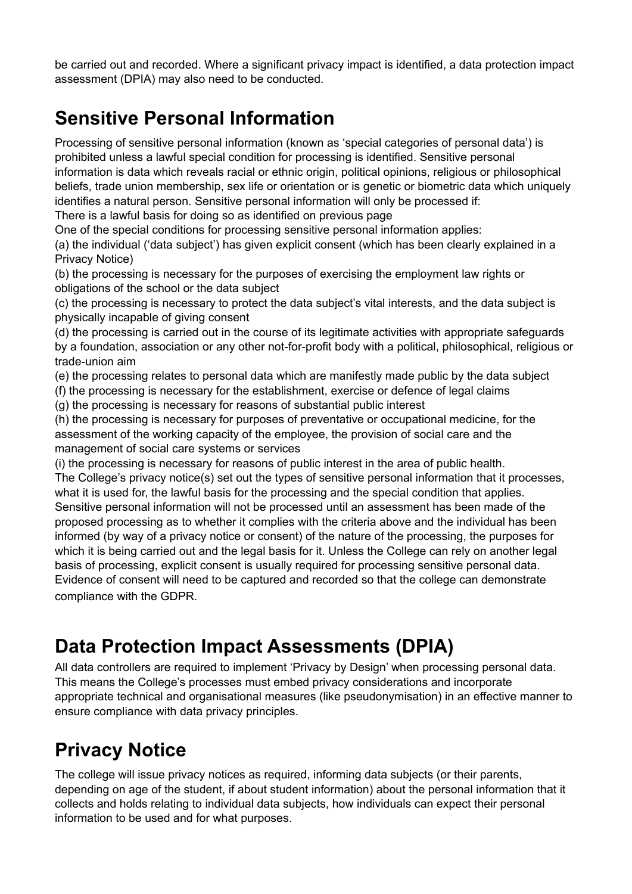be carried out and recorded. Where a significant privacy impact is identified, a data protection impact assessment (DPIA) may also need to be conducted.

# **Sensitive Personal Information**

Processing of sensitive personal information (known as 'special categories of personal data') is prohibited unless a lawful special condition for processing is identified. Sensitive personal information is data which reveals racial or ethnic origin, political opinions, religious or philosophical beliefs, trade union membership, sex life or orientation or is genetic or biometric data which uniquely identifies a natural person. Sensitive personal information will only be processed if: There is a lawful basis for doing so as identified on previous page

One of the special conditions for processing sensitive personal information applies:

(a) the individual ('data subject') has given explicit consent (which has been clearly explained in a Privacy Notice)

(b) the processing is necessary for the purposes of exercising the employment law rights or obligations of the school or the data subject

(c) the processing is necessary to protect the data subject's vital interests, and the data subject is physically incapable of giving consent

(d) the processing is carried out in the course of its legitimate activities with appropriate safeguards by a foundation, association or any other not-for-profit body with a political, philosophical, religious or trade-union aim

(e) the processing relates to personal data which are manifestly made public by the data subject

(f) the processing is necessary for the establishment, exercise or defence of legal claims

(g) the processing is necessary for reasons of substantial public interest

(h) the processing is necessary for purposes of preventative or occupational medicine, for the assessment of the working capacity of the employee, the provision of social care and the management of social care systems or services

(i) the processing is necessary for reasons of public interest in the area of public health. The College's privacy notice(s) set out the types of sensitive personal information that it processes, what it is used for, the lawful basis for the processing and the special condition that applies. Sensitive personal information will not be processed until an assessment has been made of the proposed processing as to whether it complies with the criteria above and the individual has been informed (by way of a privacy notice or consent) of the nature of the processing, the purposes for which it is being carried out and the legal basis for it. Unless the College can rely on another legal basis of processing, explicit consent is usually required for processing sensitive personal data. Evidence of consent will need to be captured and recorded so that the college can demonstrate compliance with the GDPR.

# **Data Protection Impact Assessments (DPIA)**

All data controllers are required to implement 'Privacy by Design' when processing personal data. This means the College's processes must embed privacy considerations and incorporate appropriate technical and organisational measures (like pseudonymisation) in an effective manner to ensure compliance with data privacy principles.

# **Privacy Notice**

The college will issue privacy notices as required, informing data subjects (or their parents, depending on age of the student, if about student information) about the personal information that it collects and holds relating to individual data subjects, how individuals can expect their personal information to be used and for what purposes.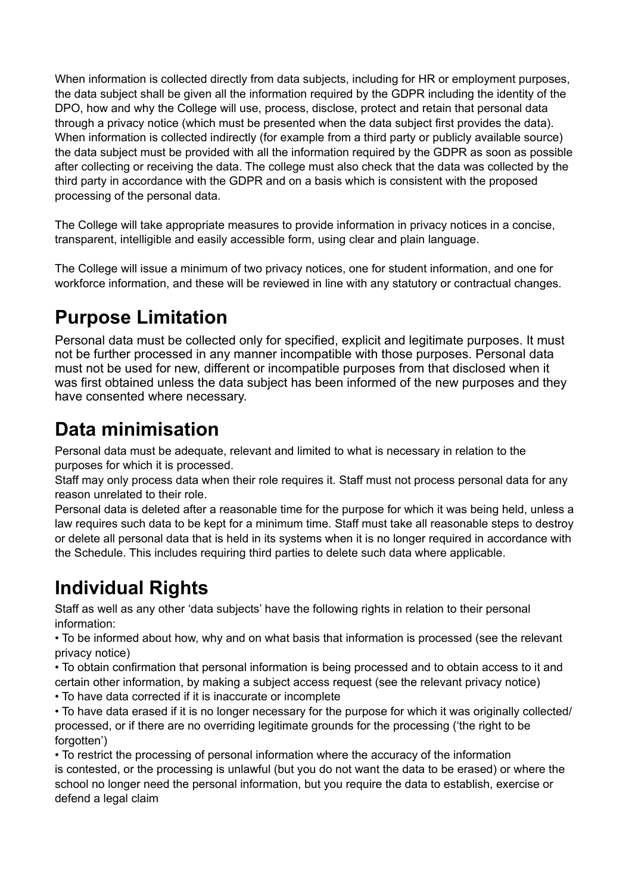When information is collected directly from data subjects, including for HR or employment purposes, the data subject shall be given all the information required by the GDPR including the identity of the DPO, how and why the College will use, process, disclose, protect and retain that personal data through a privacy notice (which must be presented when the data subject first provides the data). When information is collected indirectly (for example from a third party or publicly available source) the data subject must be provided with all the information required by the GDPR as soon as possible after collecting or receiving the data. The college must also check that the data was collected by the third party in accordance with the GDPR and on a basis which is consistent with the proposed processing of the personal data.

The College will take appropriate measures to provide information in privacy notices in a concise, transparent, intelligible and easily accessible form, using clear and plain language.

The College will issue a minimum of two privacy notices, one for student information, and one for workforce information, and these will be reviewed in line with any statutory or contractual changes.

## **Purpose Limitation**

Personal data must be collected only for specified, explicit and legitimate purposes. It must not be further processed in any manner incompatible with those purposes. Personal data must not be used for new, different or incompatible purposes from that disclosed when it was first obtained unless the data subject has been informed of the new purposes and they have consented where necessary.

#### **Data minimisation**

Personal data must be adequate, relevant and limited to what is necessary in relation to the purposes for which it is processed.

Staff may only process data when their role requires it. Staff must not process personal data for any reason unrelated to their role.

Personal data is deleted after a reasonable time for the purpose for which it was being held, unless a law requires such data to be kept for a minimum time. Staff must take all reasonable steps to destroy or delete all personal data that is held in its systems when it is no longer required in accordance with the Schedule. This includes requiring third parties to delete such data where applicable.

#### **Individual Rights**

Staff as well as any other 'data subjects' have the following rights in relation to their personal information:

• To be informed about how, why and on what basis that information is processed (see the relevant privacy notice)

• To obtain confirmation that personal information is being processed and to obtain access to it and certain other information, by making a subject access request (see the relevant privacy notice)

• To have data corrected if it is inaccurate or incomplete

• To have data erased if it is no longer necessary for the purpose for which it was originally collected/ processed, or if there are no overriding legitimate grounds for the processing ('the right to be forgotten')

• To restrict the processing of personal information where the accuracy of the information is contested, or the processing is unlawful (but you do not want the data to be erased) or where the school no longer need the personal information, but you require the data to establish, exercise or defend a legal claim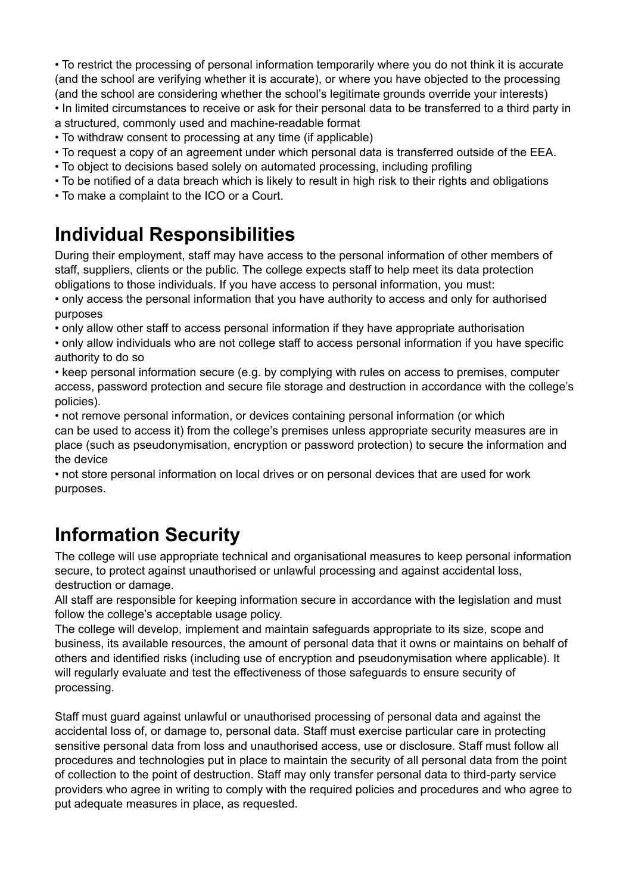• To restrict the processing of personal information temporarily where you do not think it is accurate (and the school are verifying whether it is accurate), or where you have objected to the processing (and the school are considering whether the school's legitimate grounds override your interests) • In limited circumstances to receive or ask for their personal data to be transferred to a third party in a structured, commonly used and machine-readable format

- To withdraw consent to processing at any time (if applicable)
- To request a copy of an agreement under which personal data is transferred outside of the EEA.
- To object to decisions based solely on automated processing, including profiling
- To be notified of a data breach which is likely to result in high risk to their rights and obligations
- To make a complaint to the ICO or a Court.

#### **Individual Responsibilities**

During their employment, staff may have access to the personal information of other members of staff, suppliers, clients or the public. The college expects staff to help meet its data protection obligations to those individuals. If you have access to personal information, you must:

• only access the personal information that you have authority to access and only for authorised purposes

• only allow other staff to access personal information if they have appropriate authorisation

• only allow individuals who are not college staff to access personal information if you have specific authority to do so

• keep personal information secure (e.g. by complying with rules on access to premises, computer access, password protection and secure file storage and destruction in accordance with the college's policies).

• not remove personal information, or devices containing personal information (or which can be used to access it) from the college's premises unless appropriate security measures are in place (such as pseudonymisation, encryption or password protection) to secure the information and the device

• not store personal information on local drives or on personal devices that are used for work purposes.

#### **Information Security**

The college will use appropriate technical and organisational measures to keep personal information secure, to protect against unauthorised or unlawful processing and against accidental loss, destruction or damage.

All staff are responsible for keeping information secure in accordance with the legislation and must follow the college's acceptable usage policy.

The college will develop, implement and maintain safeguards appropriate to its size, scope and business, its available resources, the amount of personal data that it owns or maintains on behalf of others and identified risks (including use of encryption and pseudonymisation where applicable). It will regularly evaluate and test the effectiveness of those safeguards to ensure security of processing.

Staff must guard against unlawful or unauthorised processing of personal data and against the accidental loss of, or damage to, personal data. Staff must exercise particular care in protecting sensitive personal data from loss and unauthorised access, use or disclosure. Staff must follow all procedures and technologies put in place to maintain the security of all personal data from the point of collection to the point of destruction. Staff may only transfer personal data to third-party service providers who agree in writing to comply with the required policies and procedures and who agree to put adequate measures in place, as requested.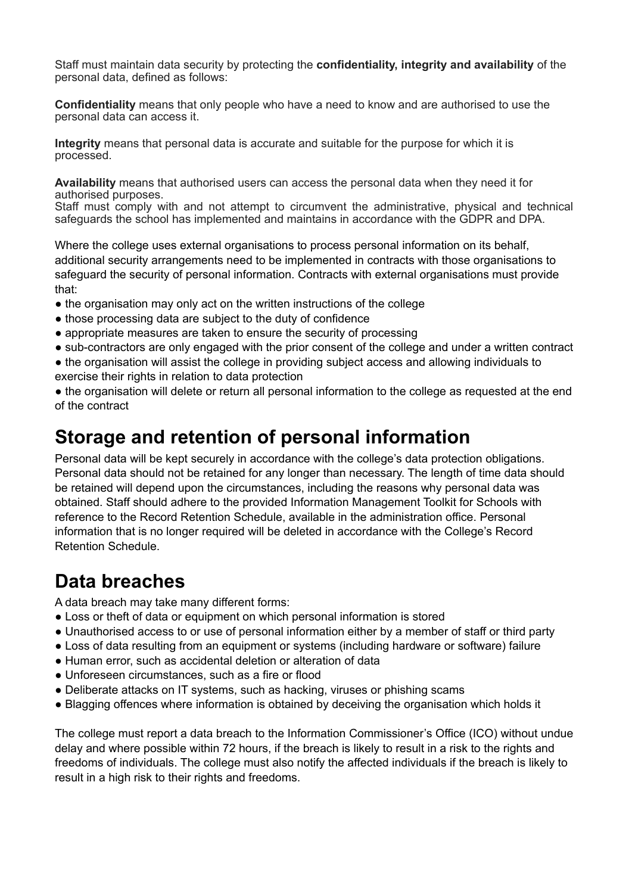Staff must maintain data security by protecting the **confidentiality, integrity and availability** of the personal data, defined as follows:

**Confidentiality** means that only people who have a need to know and are authorised to use the personal data can access it.

**Integrity** means that personal data is accurate and suitable for the purpose for which it is processed.

**Availability** means that authorised users can access the personal data when they need it for authorised purposes.

Staff must comply with and not attempt to circumvent the administrative, physical and technical safeguards the school has implemented and maintains in accordance with the GDPR and DPA.

Where the college uses external organisations to process personal information on its behalf, additional security arrangements need to be implemented in contracts with those organisations to safeguard the security of personal information. Contracts with external organisations must provide that:

- the organisation may only act on the written instructions of the college
- those processing data are subject to the duty of confidence
- appropriate measures are taken to ensure the security of processing
- sub-contractors are only engaged with the prior consent of the college and under a written contract
- the organisation will assist the college in providing subject access and allowing individuals to exercise their rights in relation to data protection

• the organisation will delete or return all personal information to the college as requested at the end of the contract

#### **Storage and retention of personal information**

Personal data will be kept securely in accordance with the college's data protection obligations. Personal data should not be retained for any longer than necessary. The length of time data should be retained will depend upon the circumstances, including the reasons why personal data was obtained. Staff should adhere to the provided Information Management Toolkit for Schools with reference to the Record Retention Schedule, available in the administration office. Personal information that is no longer required will be deleted in accordance with the College's Record Retention Schedule.

#### **Data breaches**

A data breach may take many different forms:

- Loss or theft of data or equipment on which personal information is stored
- Unauthorised access to or use of personal information either by a member of staff or third party
- Loss of data resulting from an equipment or systems (including hardware or software) failure
- Human error, such as accidental deletion or alteration of data
- Unforeseen circumstances, such as a fire or flood
- Deliberate attacks on IT systems, such as hacking, viruses or phishing scams
- Blagging offences where information is obtained by deceiving the organisation which holds it

The college must report a data breach to the Information Commissioner's Office (ICO) without undue delay and where possible within 72 hours, if the breach is likely to result in a risk to the rights and freedoms of individuals. The college must also notify the affected individuals if the breach is likely to result in a high risk to their rights and freedoms.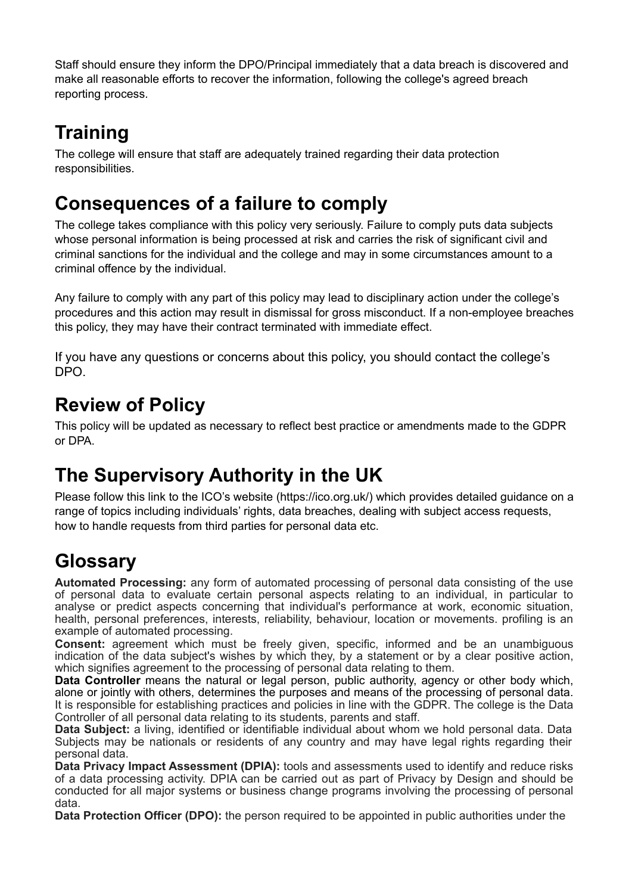Staff should ensure they inform the DPO/Principal immediately that a data breach is discovered and make all reasonable efforts to recover the information, following the college's agreed breach reporting process.

# **Training**

The college will ensure that staff are adequately trained regarding their data protection responsibilities.

#### **Consequences of a failure to comply**

The college takes compliance with this policy very seriously. Failure to comply puts data subjects whose personal information is being processed at risk and carries the risk of significant civil and criminal sanctions for the individual and the college and may in some circumstances amount to a criminal offence by the individual.

Any failure to comply with any part of this policy may lead to disciplinary action under the college's procedures and this action may result in dismissal for gross misconduct. If a non-employee breaches this policy, they may have their contract terminated with immediate effect.

If you have any questions or concerns about this policy, you should contact the college's DPO.

## **Review of Policy**

This policy will be updated as necessary to reflect best practice or amendments made to the GDPR or DPA.

## **The Supervisory Authority in the UK**

Please follow this link to the ICO's website (https://ico.org.uk/) which provides detailed guidance on a range of topics including individuals' rights, data breaches, dealing with subject access requests, how to handle requests from third parties for personal data etc.

# **Glossary**

**Automated Processing:** any form of automated processing of personal data consisting of the use of personal data to evaluate certain personal aspects relating to an individual, in particular to analyse or predict aspects concerning that individual's performance at work, economic situation, health, personal preferences, interests, reliability, behaviour, location or movements. profiling is an example of automated processing.

**Consent:** agreement which must be freely given, specific, informed and be an unambiguous indication of the data subject's wishes by which they, by a statement or by a clear positive action, which signifies agreement to the processing of personal data relating to them.

**Data Controller** means the natural or legal person, public authority, agency or other body which, alone or jointly with others, determines the purposes and means of the processing of personal data. It is responsible for establishing practices and policies in line with the GDPR. The college is the Data Controller of all personal data relating to its students, parents and staff.

**Data Subject:** a living, identified or identifiable individual about whom we hold personal data. Data Subjects may be nationals or residents of any country and may have legal rights regarding their personal data.

**Data Privacy Impact Assessment (DPIA):** tools and assessments used to identify and reduce risks of a data processing activity. DPIA can be carried out as part of Privacy by Design and should be conducted for all major systems or business change programs involving the processing of personal data.

**Data Protection Officer (DPO):** the person required to be appointed in public authorities under the